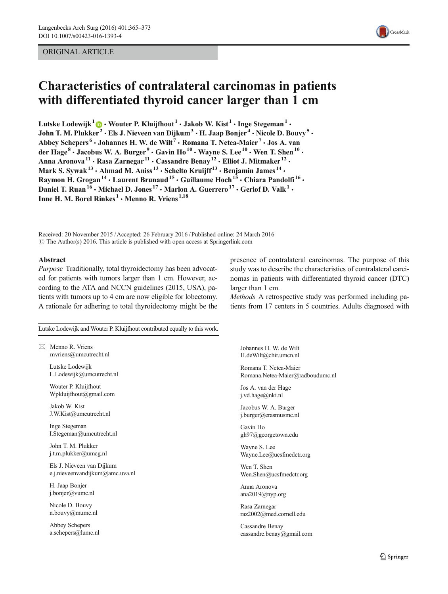## ORIGINAL ARTICLE



# Characteristics of contralateral carcinomas in patients with differentiated thyroid cancer larger than 1 cm

Lutske Lodewijk<sup>1</sup>  $\mathbf{D} \cdot$  Wouter P. Kluijfhout<sup>1</sup>  $\cdot$  Jakob W. Kist<sup>1</sup>  $\cdot$  Inge Stegeman<sup>1</sup>  $\cdot$ John T. M. Plukker<sup>2</sup>  $\cdot$  Els J. Nieveen van Dijkum<sup>3</sup>  $\cdot$  H. Jaap Bonjer<sup>4</sup>  $\cdot$  Nicole D. Bouvy<sup>5</sup>  $\cdot$ Abbey Schepers  $6 \cdot$  Johannes H. W. de Wilt<sup>7</sup>  $\cdot$  Romana T. Netea-Maier<sup>7</sup>  $\cdot$  Jos A. van der Hage<sup>8</sup> • Jacobus W. A. Burger<sup>9</sup> • Gavin Ho<sup>10</sup> • Wayne S. Lee<sup>10</sup> • Wen T. Shen<sup>10</sup> • Anna Aronova<sup>11</sup> · Rasa Zarnegar<sup>11</sup> · Cassandre Benay<sup>12</sup> · Elliot J. Mitmaker<sup>12</sup> · Mark S. Sywak<sup>13</sup> · Ahmad M. Aniss<sup>13</sup> · Schelto Kruijff<sup>13</sup> · Benjamin James<sup>14</sup> · Raymon H. Grogan<sup>14</sup> · Laurent Brunaud<sup>15</sup> · Guillaume Hoch<sup>15</sup> · Chiara Pandolfi<sup>16</sup> · Daniel T. Ruan<sup>16</sup> • Michael D. Jones<sup>17</sup> • Marlon A. Guerrero<sup>17</sup> • Gerlof D. Valk<sup>1</sup> • Inne H. M. Borel Rinkes<sup>1</sup>  $\cdot$  Menno R. Vriens<sup>1,18</sup>

Received: 20 November 2015 /Accepted: 26 February 2016 /Published online: 24 March 2016  $\odot$  The Author(s) 2016. This article is published with open access at Springerlink.com

# Abstract

Purpose Traditionally, total thyroidectomy has been advocated for patients with tumors larger than 1 cm. However, according to the ATA and NCCN guidelines (2015, USA), patients with tumors up to 4 cm are now eligible for lobectomy. A rationale for adhering to total thyroidectomy might be the

Lutske Lodewijk and Wouter P. Kluijfhout contributed equally to this work.

 $\boxtimes$  Menno R. Vriens mvriens@umcutrecht.nl

> Lutske Lodewijk L.Lodewijk@umcutrecht.nl

Wouter P. Kluijfhout Wpkluijfhout@gmail.com

Jakob W. Kist J.W.Kist@umcutrecht.nl

Inge Stegeman I.Stegeman@umcutrecht.nl

John T. M. Plukker j.t.m.plukker@umcg.nl

Els J. Nieveen van Dijkum e.j.nieveenvandijkum@amc.uva.nl

H. Jaap Bonjer j.bonjer@vumc.nl

Nicole D. Bouvy n.bouvy@mumc.nl

Abbey Schepers a.schepers@lumc.nl presence of contralateral carcinomas. The purpose of this study was to describe the characteristics of contralateral carcinomas in patients with differentiated thyroid cancer (DTC) larger than 1 cm.

Methods A retrospective study was performed including patients from 17 centers in 5 countries. Adults diagnosed with

Johannes H. W. de Wilt H.deWilt@chir.umcn.nl

Romana T. Netea-Maier Romana.Netea-Maier@radboudumc.nl

Jos A. van der Hage j.vd.hage@nki.nl

Jacobus W. A. Burger j.burger@erasmusmc.nl

Gavin Ho gh97@georgetown.edu

Wayne S. Lee Wayne.Lee@ucsfmedctr.org

Wen T. Shen Wen.Shen@ucsfmedctr.org

Anna Aronova ana2019@nyp.org

Rasa Zarnegar raz2002@med.cornell.edu

Cassandre Benay cassandre.benay@gmail.com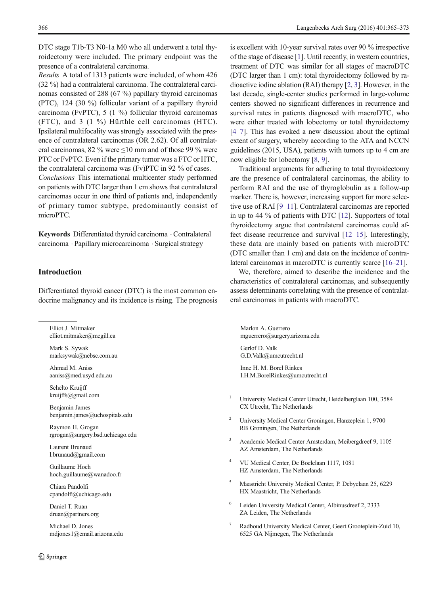DTC stage T1b-T3 N0-1a M0 who all underwent a total thyroidectomy were included. The primary endpoint was the presence of a contralateral carcinoma.

Results A total of 1313 patients were included, of whom 426 (32 %) had a contralateral carcinoma. The contralateral carcinomas consisted of 288 (67 %) papillary thyroid carcinomas (PTC), 124 (30 %) follicular variant of a papillary thyroid carcinoma (FvPTC), 5 (1 %) follicular thyroid carcinomas (FTC), and 3 (1 %) Hürthle cell carcinomas (HTC). Ipsilateral multifocality was strongly associated with the presence of contralateral carcinomas (OR 2.62). Of all contralateral carcinomas, 82 % were  $\leq 10$  mm and of those 99 % were PTC or FvPTC. Even if the primary tumor was a FTC or HTC, the contralateral carcinoma was (Fv)PTC in 92 % of cases. Conclusions This international multicenter study performed on patients with DTC larger than 1 cm shows that contralateral carcinomas occur in one third of patients and, independently of primary tumor subtype, predominantly consist of microPTC.

Keywords Differentiated thyroid carcinoma . Contralateral carcinoma . Papillary microcarcinoma . Surgical strategy

# Introduction

Differentiated thyroid cancer (DTC) is the most common endocrine malignancy and its incidence is rising. The prognosis

Elliot J. Mitmaker elliot.mitmaker@mcgill.ca

Mark S. Sywak marksywak@nebsc.com.au

Ahmad M. Aniss aaniss@med.usyd.edu.au

Schelto Kruijff kruijffs@gmail.com

Benjamin James benjamin.james@uchospitals.edu

Raymon H. Grogan rgrogan@surgery.bsd.uchicago.edu

Laurent Brunaud l.brunaud@gmail.com

Guillaume Hoch hoch.guillaume@wanadoo.fr

Chiara Pandolfi cpandolfi@uchicago.edu

Daniel T. Ruan druan@partners.org

Michael D. Jones mdjones1@email.arizona.edu is excellent with 10-year survival rates over 90 % irrespective of the stage of disease [\[1](#page-7-0)]. Until recently, in western countries, treatment of DTC was similar for all stages of macroDTC (DTC larger than 1 cm): total thyroidectomy followed by radioactive iodine ablation (RAI) therapy [[2](#page-7-0), [3\]](#page-7-0). However, in the last decade, single-center studies performed in large-volume centers showed no significant differences in recurrence and survival rates in patients diagnosed with macroDTC, who were either treated with lobectomy or total thyroidectomy [\[4](#page-7-0)–[7\]](#page-7-0). This has evoked a new discussion about the optimal extent of surgery, whereby according to the ATA and NCCN guidelines (2015, USA), patients with tumors up to 4 cm are now eligible for lobectomy [[8,](#page-7-0) [9\]](#page-7-0).

Traditional arguments for adhering to total thyroidectomy are the presence of contralateral carcinomas, the ability to perform RAI and the use of thyroglobulin as a follow-up marker. There is, however, increasing support for more selective use of RAI [[9](#page-7-0)–[11\]](#page-7-0). Contralateral carcinomas are reported in up to 44 % of patients with DTC [\[12\]](#page-7-0). Supporters of total thyroidectomy argue that contralateral carcinomas could affect disease recurrence and survival [\[12](#page-7-0)–[15](#page-7-0)]. Interestingly, these data are mainly based on patients with microDTC (DTC smaller than 1 cm) and data on the incidence of contralateral carcinomas in macroDTC is currently scarce [[16](#page-7-0)–[21](#page-7-0)].

We, therefore, aimed to describe the incidence and the characteristics of contralateral carcinomas, and subsequently assess determinants correlating with the presence of contralateral carcinomas in patients with macroDTC.

Marlon A. Guerrero mguerrero@surgery.arizona.edu

Gerlof D. Valk G.D.Valk@umcutrecht.nl

Inne H. M. Borel Rinkes I.H.M.BorelRinkes@umcutrecht.nl

- <sup>1</sup> University Medical Center Utrecht, Heidelberglaan 100, 3584 CX Utrecht, The Netherlands
- <sup>2</sup> University Medical Center Groningen, Hanzeplein 1, 9700 RB Groningen, The Netherlands
- <sup>3</sup> Academic Medical Center Amsterdam, Meibergdreef 9, 1105 AZ Amsterdam, The Netherlands
- <sup>4</sup> VU Medical Center, De Boelelaan 1117, 1081 HZ Amsterdam, The Netherlands
- <sup>5</sup> Maastricht University Medical Center, P. Debyelaan 25, 6229 HX Maastricht, The Netherlands
- Leiden University Medical Center, Albinusdreef 2, 2333 ZA Leiden, The Netherlands
- <sup>7</sup> Radboud University Medical Center, Geert Grooteplein-Zuid 10, 6525 GA Nijmegen, The Netherlands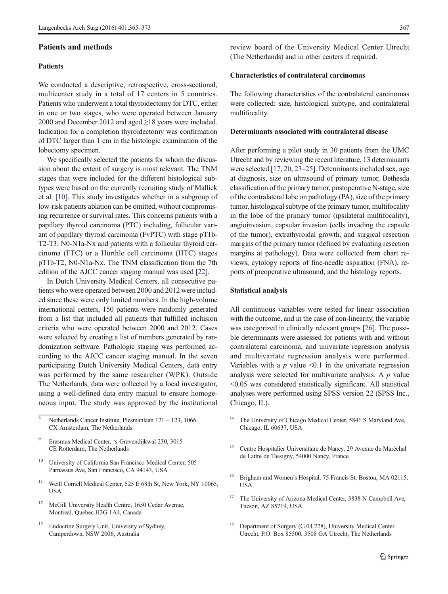## Patients and methods

## Patients

We conducted a descriptive, retrospective, cross-sectional, multicenter study in a total of 17 centers in 5 countries. Patients who underwent a total thyroidectomy for DTC, either in one or two stages, who were operated between January 2000 and December 2012 and aged  $\geq$ 18 years were included. Indication for a completion thyroidectomy was confirmation of DTC larger than 1 cm in the histologic examination of the lobectomy specimen.

We specifically selected the patients for whom the discussion about the extent of surgery is most relevant. The TNM stages that were included for the different histological subtypes were based on the currently recruiting study of Mallick et al. [[10\]](#page-7-0). This study investigates whether in a subgroup of low-risk patients ablation can be omitted, without compromising recurrence or survival rates. This concerns patients with a papillary thyroid carcinoma (PTC) including, follicular variant of papillary thyroid carcinoma (FvPTC) with stage pT1b-T2-T3, N0-N1a-Nx and patients with a follicular thyroid carcinoma (FTC) or a Hürthle cell carcinoma (HTC) stages pT1b-T2, N0-N1a-Nx. The TNM classification from the 7th edition of the AJCC cancer staging manual was used [\[22\]](#page-7-0).

In Dutch University Medical Centers, all consecutive patients who were operated between 2000 and 2012 were included since these were only limited numbers. In the high-volume international centers, 150 patients were randomly generated from a list that included all patients that fulfilled inclusion criteria who were operated between 2000 and 2012. Cases were selected by creating a list of numbers generated by randomization software. Pathologic staging was performed according to the AJCC cancer staging manual. In the seven participating Dutch University Medical Centers, data entry was performed by the same researcher (WPK). Outside The Netherlands, data were collected by a local investigator, using a well-defined data entry manual to ensure homogeneous input. The study was approved by the institutional

- <sup>10</sup> University of California San Francisco Medical Center, 505 Parnassus Ave, San Francisco, CA 94143, USA
- <sup>11</sup> Weill Cornell Medical Center, 525 E 68th St, New York, NY 10065, USA
- <sup>12</sup> McGill University Health Centre, 1650 Cedar Avenue, Montreal, Quebec H3G 1A4, Canada
- <sup>13</sup> Endocrine Surgery Unit, University of Sydney, Camperdown, NSW 2006, Australia

review board of the University Medical Center Utrecht (The Netherlands) and in other centers if required.

#### Characteristics of contralateral carcinomas

The following characteristics of the contralateral carcinomas were collected: size, histological subtype, and contralateral multifocality.

#### Determinants associated with contralateral disease

After performing a pilot study in 30 patients from the UMC Utrecht and by reviewing the recent literature, 13 determinants were selected [\[17,](#page-7-0) [20](#page-7-0), [23](#page-7-0)–[25](#page-7-0)]. Determinants included sex, age at diagnosis, size on ultrasound of primary tumor, Bethesda classification of the primary tumor, postoperative N-stage, size of the contralateral lobe on pathology (PA), size of the primary tumor, histological subtype of the primary tumor, multifocality in the lobe of the primary tumor (ipsilateral multifocality), angioinvasion, capsular invasion (cells invading the capsule of the tumor), extrathyroidal growth, and surgical resection margins of the primary tumor (defined by evaluating resection margins at pathology). Data were collected from chart reviews, cytology reports of fine-needle aspiration (FNA), reports of preoperative ultrasound, and the histology reports.

#### Statistical analysis

All continuous variables were tested for linear association with the outcome, and in the case of non-linearity, the variable was categorized in clinically relevant groups [\[26](#page-7-0)]. The possible determinants were assessed for patients with and without contralateral carcinoma, and univariate regression analysis and multivariate regression analysis were performed. Variables with a  $p$  value  $\leq 0.1$  in the univariate regression analysis were selected for multivariate analysis. A  $p$  value <0.05 was considered statistically significant. All statistical analyses were performed using SPSS version 22 (SPSS Inc., Chicago, IL).

- <sup>14</sup> The University of Chicago Medical Center, 5841 S Maryland Ave, Chicago, IL 60637, USA
- <sup>15</sup> Centre Hospitalier Universitaire de Nancy, 29 Avenue du Maréchal de Lattre de Tassigny, 54000 Nancy, France
- <sup>16</sup> Brigham and Women's Hospital, 75 Francis St, Boston, MA 02115, **USA**
- <sup>17</sup> The University of Arizona Medical Center, 3838 N Campbell Ave, Tucson, AZ 85719, USA
- <sup>18</sup> Department of Surgery (G.04.228), University Medical Center Utrecht, P.O. Box 85500, 3508 GA Utrecht, The Netherlands

<sup>8</sup> Netherlands Cancer Institute, Plesmanlaan 121 – 123, 1066 CX Amsterdam, The Netherlands

<sup>9</sup> Erasmus Medical Center, 's-Gravendijkwal 230, 3015 CE Rotterdam, The Netherlands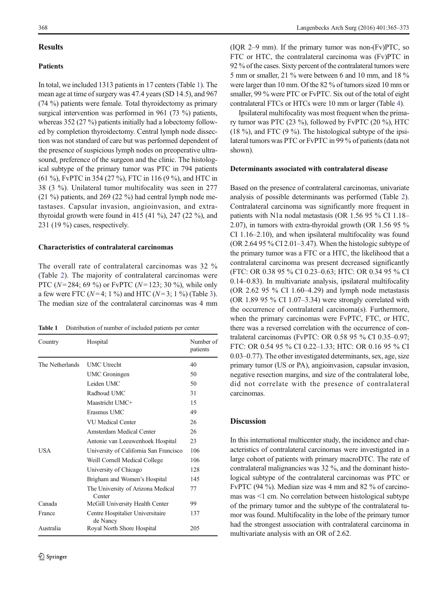# Results

# Patients

In total, we included 1313 patients in 17 centers (Table 1). The mean age at time of surgery was 47.4 years (SD 14.5), and 967 (74 %) patients were female. Total thyroidectomy as primary surgical intervention was performed in 961 (73 %) patients, whereas 352 (27 %) patients initially had a lobectomy followed by completion thyroidectomy. Central lymph node dissection was not standard of care but was performed dependent of the presence of suspicious lymph nodes on preoperative ultrasound, preference of the surgeon and the clinic. The histological subtype of the primary tumor was PTC in 794 patients (61 %), FvPTC in 354 (27 %), FTC in 116 (9 %), and HTC in 38 (3 %). Unilateral tumor multifocality was seen in 277 (21 %) patients, and 269 (22 %) had central lymph node metastases. Capsular invasion, angioinvasion, and extrathyroidal growth were found in 415 (41 %), 247 (22 %), and 231 (19 %) cases, respectively.

# Characteristics of contralateral carcinomas

The overall rate of contralateral carcinomas was 32 % (Table [2\)](#page-4-0). The majority of contralateral carcinomas were PTC ( $N= 284$ ; 69 %) or FvPTC ( $N= 123$ ; 30 %), while only a few were FTC ( $N=4$ ; 1 %) and HTC ( $N=3$ ; 1 %) (Table [3\)](#page-5-0). The median size of the contralateral carcinomas was 4 mm

Table 1 Distribution of number of included patients per center

| Country         | Hospital                                     | Number of<br>patients |
|-----------------|----------------------------------------------|-----------------------|
| The Netherlands | <b>UMC</b> Utrecht                           | 40                    |
|                 | UMC Groningen                                | 50                    |
|                 | Leiden UMC                                   | 50                    |
|                 | Radboud UMC                                  | 31                    |
|                 | Maastricht UMC+                              | 15                    |
|                 | Erasmus UMC                                  | 49                    |
|                 | <b>VU Medical Center</b>                     | 26                    |
|                 | Amsterdam Medical Center                     | 26                    |
|                 | Antonie van Leeuwenhoek Hospital             | 23                    |
| USA             | University of California San Francisco       | 106                   |
|                 | Weill Cornell Medical College                | 106                   |
|                 | University of Chicago                        | 128                   |
|                 | Brigham and Women's Hospital                 | 145                   |
|                 | The University of Arizona Medical<br>Center  | 77                    |
| Canada          | McGill University Health Center              | 99                    |
| France          | Centre Hospitalier Universitaire<br>de Nancy | 137                   |
| Australia       | Royal North Shore Hospital                   | 205                   |

(IQR 2–9 mm). If the primary tumor was non-(Fv)PTC, so FTC or HTC, the contralateral carcinoma was (Fv)PTC in 92 % of the cases. Sixty percent of the contralateral tumors were 5 mm or smaller, 21 % were between 6 and 10 mm, and 18 % were larger than 10 mm. Of the 82 % of tumors sized 10 mm or smaller, 99 % were PTC or FvPTC. Six out of the total of eight contralateral FTCs or HTCs were 10 mm or larger (Table [4](#page-6-0)).

Ipsilateral multifocality was most frequent when the primary tumor was PTC (23 %), followed by FvPTC (20 %), HTC (18 %), and FTC (9 %). The histological subtype of the ipsilateral tumors was PTC or FvPTC in 99 % of patients (data not shown).

#### Determinants associated with contralateral disease

Based on the presence of contralateral carcinomas, univariate analysis of possible determinants was performed (Table [2\)](#page-4-0). Contralateral carcinoma was significantly more frequent in patients with N1a nodal metastasis (OR 1.56 95 % CI 1.18– 2.07), in tumors with extra-thyroidal growth (OR 1.56 95 % CI 1.16–2.10), and when ipsilateral multifocality was found (OR 2.64 95 % CI 2.01–3.47). When the histologic subtype of the primary tumor was a FTC or a HTC, the likelihood that a contralateral carcinoma was present decreased significantly (FTC: OR 0.38 95 % CI 0.23–0.63; HTC: OR 0.34 95 % CI 0.14–0.83). In multivariate analysis, ipsilateral multifocality (OR 2.62 95 % CI 1.60–4.29) and lymph node metastasis (OR  $1.89$  95 % CI 1.07–3.34) were strongly correlated with the occurrence of contralateral carcinoma(s). Furthermore, when the primary carcinomas were FvPTC, FTC, or HTC, there was a reversed correlation with the occurrence of contralateral carcinomas (FvPTC: OR 0.58 95 % CI 0.35–0.97; FTC: OR 0.54 95 % CI 0.22–1.33; HTC: OR 0.16 95 % CI 0.03–0.77). The other investigated determinants, sex, age, size primary tumor (US or PA), angioinvasion, capsular invasion, negative resection margins, and size of the contralateral lobe, did not correlate with the presence of contralateral carcinomas.

# Discussion

In this international multicenter study, the incidence and characteristics of contralateral carcinomas were investigated in a large cohort of patients with primary macroDTC. The rate of contralateral malignancies was 32 %, and the dominant histological subtype of the contralateral carcinomas was PTC or FvPTC (94 %). Median size was 4 mm and 82 % of carcinomas was <1 cm. No correlation between histological subtype of the primary tumor and the subtype of the contralateral tumor was found. Multifocality in the lobe of the primary tumor had the strongest association with contralateral carcinoma in multivariate analysis with an OR of 2.62.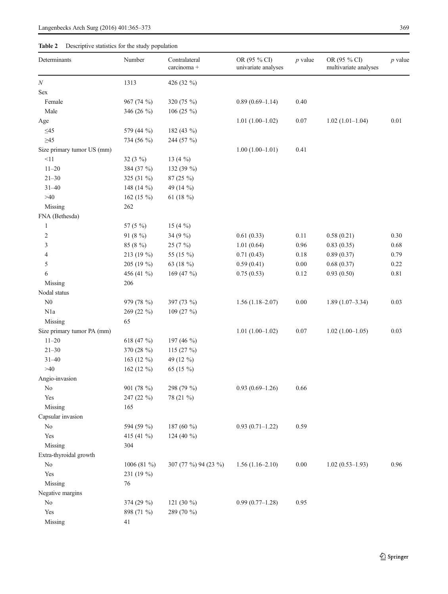# <span id="page-4-0"></span>Table 2 Descriptive statistics for the study population

| Determinants                       | Number        | Contralateral<br>carcinoma + | OR (95 % CI)<br>univariate analyses | $p$ value | OR (95 % CI)<br>multivariate analyses | $p$ value |
|------------------------------------|---------------|------------------------------|-------------------------------------|-----------|---------------------------------------|-----------|
| $\cal N$                           | 1313          | 426 (32 %)                   |                                     |           |                                       |           |
| Sex                                |               |                              |                                     |           |                                       |           |
| Female                             | 967 (74 %)    | 320 (75 %)                   | $0.89(0.69 - 1.14)$                 | 0.40      |                                       |           |
| Male                               | 346 (26 %)    | $106(25\%)$                  |                                     |           |                                       |           |
| Age                                |               |                              | $1.01(1.00-1.02)$                   | 0.07      | $1.02(1.01-1.04)$                     | 0.01      |
| $\leq45$                           | 579 (44 %)    | 182 (43 %)                   |                                     |           |                                       |           |
| $\geq45$                           | 734 (56 %)    | 244 (57 %)                   |                                     |           |                                       |           |
| Size primary tumor US (mm)         |               |                              | $1.00(1.00-1.01)$                   | 0.41      |                                       |           |
| <11                                | $32(3\%)$     | 13 $(4\%$                    |                                     |           |                                       |           |
| $11 - 20$                          | 384 (37 %)    | 132 (39 %)                   |                                     |           |                                       |           |
| $21 - 30$                          | 325 (31 %)    | 87 (25 %)                    |                                     |           |                                       |           |
| $31 - 40$                          | 148 (14 %)    | 49 (14 %)                    |                                     |           |                                       |           |
| $>40$                              | 162 $(15 \%)$ | 61 $(18\%)$                  |                                     |           |                                       |           |
| Missing                            | 262           |                              |                                     |           |                                       |           |
| FNA (Bethesda)                     |               |                              |                                     |           |                                       |           |
| $\mathbf{1}$                       | 57 $(5\%)$    | 15 $(4\%$                    |                                     |           |                                       |           |
| $\overline{c}$                     | 91 (8 %)      | 34 (9 %)                     | 0.61(0.33)                          | 0.11      | 0.58(0.21)                            | 0.30      |
| 3                                  | 85 (8 %)      | 25 (7 %)                     | 1.01(0.64)                          | 0.96      | 0.83(0.35)                            | 0.68      |
| 4                                  | 213 (19 %)    | 55 (15 %)                    | 0.71(0.43)                          | 0.18      | 0.89(0.37)                            | 0.79      |
| 5                                  | 205 (19 %)    | 63 (18 %)                    | 0.59(0.41)                          | 0.00      | 0.68(0.37)                            | 0.22      |
| 6                                  | 456 (41 %)    | 169 (47 %)                   | 0.75(0.53)                          | 0.12      | 0.93(0.50)                            | $0.81\,$  |
| Missing                            | 206           |                              |                                     |           |                                       |           |
| Nodal status                       |               |                              |                                     |           |                                       |           |
| ${\rm N}0$                         | 979 (78 %)    | 397 (73 %)                   | $1.56(1.18-2.07)$                   | $0.00\,$  | $1.89(1.07-3.34)$                     | 0.03      |
| N1a                                | 269 (22 %)    | 109(27%)                     |                                     |           |                                       |           |
| Missing                            | 65            |                              |                                     |           |                                       |           |
| Size primary tumor PA (mm)         |               |                              | $1.01(1.00-1.02)$                   | 0.07      | $1.02(1.00-1.05)$                     | 0.03      |
| $11 - 20$                          | 618 (47 %)    | 197 (46 %)                   |                                     |           |                                       |           |
| $21 - 30$                          | 370 (28 %)    | 115 $(27\%)$                 |                                     |           |                                       |           |
| $31 - 40$                          | 163 (12 %)    | 49 (12 %)                    |                                     |           |                                       |           |
| $>40$                              | 162 (12 %)    | 65 (15 %)                    |                                     |           |                                       |           |
| Angio-invasion                     |               |                              |                                     |           |                                       |           |
| No.                                | 901 (78 %)    | 298 (79 %)                   | $0.93(0.69-1.26)$                   | 0.66      |                                       |           |
| Yes                                | 247 (22 %)    | 78 (21 %)                    |                                     |           |                                       |           |
| Missing                            | 165           |                              |                                     |           |                                       |           |
| Capsular invasion                  |               |                              |                                     |           |                                       |           |
| No                                 | 594 (59 %)    | 187 (60 %)                   | $0.93(0.71-1.22)$                   | 0.59      |                                       |           |
| Yes                                | 415 (41 %)    | 124 (40 $\%$ )               |                                     |           |                                       |           |
| Missing                            | 304           |                              |                                     |           |                                       |           |
| Extra-thyroidal growth             |               |                              |                                     |           |                                       |           |
| No                                 | 1006 (81 %)   | 307 (77 %) 94 (23 %)         | $1.56(1.16-2.10)$                   | $0.00\,$  | $1.02(0.53-1.93)$                     | 0.96      |
| Yes                                | 231 (19 %)    |                              |                                     |           |                                       |           |
| Missing                            | 76            |                              |                                     |           |                                       |           |
|                                    |               |                              |                                     |           |                                       |           |
| Negative margins<br>N <sub>0</sub> |               |                              | $0.99(0.77-1.28)$                   | 0.95      |                                       |           |
| Yes                                | 374 (29 %)    | 121 $(30\%)$                 |                                     |           |                                       |           |
|                                    | 898 (71 %)    | 289 (70 %)                   |                                     |           |                                       |           |
| Missing                            | 41            |                              |                                     |           |                                       |           |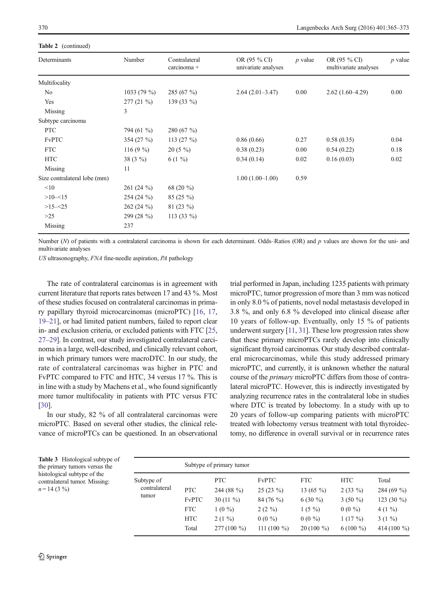#### <span id="page-5-0"></span>Table 2 (continued)

| Determinants                 | Number          | Contralateral<br>carcinoma + | OR (95 % CI)<br>univariate analyses | $p$ value | OR (95 % CI)<br>multivariate analyses | $p$ value |
|------------------------------|-----------------|------------------------------|-------------------------------------|-----------|---------------------------------------|-----------|
| Multifocality                |                 |                              |                                     |           |                                       |           |
| No                           | 1033 (79 $\%$ ) | 285 (67 $\%$ )               | $2.64(2.01-3.47)$                   | 0.00      | $2.62(1.60-4.29)$                     | 0.00      |
| Yes                          | $277(21\%)$     | 139 $(33\%)$                 |                                     |           |                                       |           |
| Missing                      | 3               |                              |                                     |           |                                       |           |
| Subtype carcinoma            |                 |                              |                                     |           |                                       |           |
| <b>PTC</b>                   | 794 (61 %)      | 280 $(67\%)$                 |                                     |           |                                       |           |
| <b>FvPTC</b>                 | 354 (27 %)      | 113 $(27\%)$                 | 0.86(0.66)                          | 0.27      | 0.58(0.35)                            | 0.04      |
| <b>FTC</b>                   | 116 (9 $\%$ )   | $20(5\%)$                    | 0.38(0.23)                          | 0.00      | 0.54(0.22)                            | 0.18      |
| <b>HTC</b>                   | 38 $(3\%$       | $6(1\%)$                     | 0.34(0.14)                          | 0.02      | 0.16(0.03)                            | 0.02      |
| Missing                      | 11              |                              |                                     |           |                                       |           |
| Size contralateral lobe (mm) |                 |                              | $1.00(1.00-1.00)$                   | 0.59      |                                       |           |
| <10                          | $261(24\%)$     | 68 (20 %)                    |                                     |           |                                       |           |
| $>10-15$                     | $254(24\%)$     | $85(25\%)$                   |                                     |           |                                       |           |
| $>15 - 25$                   | $262(24\%)$     | $81(23\%)$                   |                                     |           |                                       |           |
| $>25$                        | 299 (28 %)      | 113 $(33\%)$                 |                                     |           |                                       |           |
| Missing                      | 237             |                              |                                     |           |                                       |           |

Number (N) of patients with a contralateral carcinoma is shown for each determinant. Odds–Ratios (OR) and  $p$  values are shown for the uni- and multivariate analyses

US ultrasonography, FNA fine-needle aspiration, PA pathology

The rate of contralateral carcinomas is in agreement with current literature that reports rates between 17 and 43 %. Most of these studies focused on contralateral carcinomas in primary papillary thyroid microcarcinomas (microPTC) [\[16](#page-7-0), [17,](#page-7-0) [19](#page-7-0)–[21](#page-7-0)], or had limited patient numbers, failed to report clear in- and exclusion criteria, or excluded patients with FTC [[25,](#page-7-0) [27](#page-7-0)–[29](#page-8-0)]. In contrast, our study investigated contralateral carcinoma in a large, well-described, and clinically relevant cohort, in which primary tumors were macroDTC. In our study, the rate of contralateral carcinomas was higher in PTC and FvPTC compared to FTC and HTC, 34 versus 17 %. This is in line with a study by Machens et al., who found significantly more tumor multifocality in patients with PTC versus FTC [\[30\]](#page-8-0).

In our study, 82 % of all contralateral carcinomas were microPTC. Based on several other studies, the clinical relevance of microPTCs can be questioned. In an observational

trial performed in Japan, including 1235 patients with primary microPTC, tumor progression of more than 3 mm was noticed in only 8.0 % of patients, novel nodal metastasis developed in 3.8 %, and only 6.8 % developed into clinical disease after 10 years of follow-up. Eventually, only 15 % of patients underwent surgery [\[11,](#page-7-0) [31\]](#page-8-0). These low progression rates show that these primary microPTCs rarely develop into clinically significant thyroid carcinomas. Our study described contralateral microcarcinomas, while this study addressed primary microPTC, and currently, it is unknown whether the natural course of the primary microPTC differs from those of contralateral microPTC. However, this is indirectly investigated by analyzing recurrence rates in the contralateral lobe in studies where DTC is treated by lobectomy. In a study with up to 20 years of follow-up comparing patients with microPTC treated with lobectomy versus treatment with total thyroidectomy, no difference in overall survival or in recurrence rates

| Subtype of primary tumor |              |                |                 |             |              |                 |
|--------------------------|--------------|----------------|-----------------|-------------|--------------|-----------------|
| Subtype of               |              | <b>PTC</b>     | <b>FvPTC</b>    | <b>FTC</b>  | <b>HTC</b>   | Total           |
| contralateral<br>tumor   | <b>PTC</b>   | 244 (88 $\%$ ) | $25(23\%)$      | 13 $(65\%)$ | $2(33\%)$    | $284(69\%)$     |
|                          | <b>FvPTC</b> | $30(11\%)$     | 84 (76 %)       | $6(30\%)$   | 3 (50 $\%$ ) | 123 $(30\%$     |
|                          | <b>FTC</b>   | $1(0\%)$       | $2(2\%)$        | $1(5\%)$    | $0(0\%)$     | $4(1\%)$        |
|                          | <b>HTC</b>   | $2(1\%)$       | $0(0\%)$        | $0(0\%)$    | $1(17\%)$    | $3(1\%)$        |
|                          | Total        | $277(100\%)$   | 111 (100 $\%$ ) | $20(100\%)$ | $6(100\%)$   | 414 (100 $\%$ ) |
|                          |              |                |                 |             |              |                 |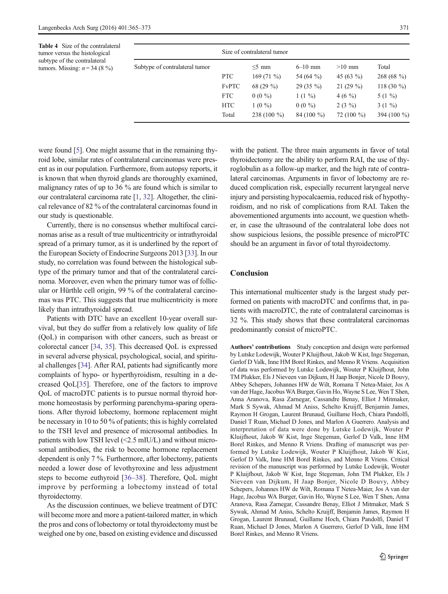<span id="page-6-0"></span>Table 4 Size of the contralateral tumor versus the histological subtype of the contralateral tumors. Missing:  $n = 34$  (8 %)

| Size of contralateral tumor    |              |             |             |              |                |  |  |  |
|--------------------------------|--------------|-------------|-------------|--------------|----------------|--|--|--|
| Subtype of contralateral tumor |              | $\leq$ 5 mm | $6 - 10$ mm | $>10$ mm     | Total          |  |  |  |
|                                | <b>PTC</b>   | $169(71\%)$ | 54 (64 %)   | 45 $(63\%)$  | 268 (68 $\%$ ) |  |  |  |
|                                | <b>FyPTC</b> | 68 (29 %)   | $29(35\%)$  | $21(29\%)$   | 118 $(30\%$    |  |  |  |
|                                | <b>FTC</b>   | $0(0\%)$    | $1(1\%)$    | 4 (6 $\%$ )  | $5(1\%)$       |  |  |  |
|                                | <b>HTC</b>   | $1(0\%)$    | $0(0\%)$    | $2(3\%)$     | $3(1\%)$       |  |  |  |
|                                | Total        | 238 (100 %) | 84 (100 %)  | 72 $(100\%)$ | 394 (100 %)    |  |  |  |

were found [\[5\]](#page-7-0). One might assume that in the remaining thyroid lobe, similar rates of contralateral carcinomas were present as in our population. Furthermore, from autopsy reports, it is known that when thyroid glands are thoroughly examined, malignancy rates of up to 36 % are found which is similar to our contralateral carcinoma rate [\[1](#page-7-0), [32](#page-8-0)]. Altogether, the clinical relevance of 82 % of the contralateral carcinomas found in our study is questionable.

Currently, there is no consensus whether multifocal carcinomas arise as a result of true multicentricity or intrathyroidal spread of a primary tumor, as it is underlined by the report of the European Society of Endocrine Surgeons 2013 [\[33\]](#page-8-0). In our study, no correlation was found between the histological subtype of the primary tumor and that of the contralateral carcinoma. Moreover, even when the primary tumor was of follicular or Hürthle cell origin, 99 % of the contralateral carcinomas was PTC. This suggests that true multicentricity is more likely than intrathyroidal spread.

Patients with DTC have an excellent 10-year overall survival, but they do suffer from a relatively low quality of life (QoL) in comparison with other cancers, such as breast or colorectal cancer [[34,](#page-8-0) [35](#page-8-0)]. This decreased QoL is expressed in several adverse physical, psychological, social, and spiritual challenges [\[34\]](#page-8-0). After RAI, patients had significantly more complaints of hypo- or hyperthyroidism, resulting in a decreased QoL[\[35](#page-8-0)]. Therefore, one of the factors to improve QoL of macroDTC patients is to pursue normal thyroid hormone homeostasis by performing parenchyma-sparing operations. After thyroid lobectomy, hormone replacement might be necessary in 10 to 50 % of patients; this is highly correlated to the TSH level and presence of microsomal antibodies. In patients with low TSH level (<2.5 mIU/L) and without microsomal antibodies, the risk to become hormone replacement dependent is only 7 %. Furthermore, after lobectomy, patients needed a lower dose of levothyroxine and less adjustment steps to become euthyroid [\[36](#page-8-0)–[38\]](#page-8-0). Therefore, QoL might improve by performing a lobectomy instead of total thyroidectomy.

As the discussion continues, we believe treatment of DTC will become more and more a patient-tailored matter, in which the pros and cons of lobectomy or total thyroidectomy must be weighed one by one, based on existing evidence and discussed

with the patient. The three main arguments in favor of total thyroidectomy are the ability to perform RAI, the use of thyroglobulin as a follow-up marker, and the high rate of contralateral carcinomas. Arguments in favor of lobectomy are reduced complication risk, especially recurrent laryngeal nerve injury and persisting hypocalcaemia, reduced risk of hypothyroidism, and no risk of complications from RAI. Taken the abovementioned arguments into account, we question whether, in case the ultrasound of the contralateral lobe does not show suspicious lesions, the possible presence of microPTC should be an argument in favor of total thyroidectomy.

# **Conclusion**

This international multicenter study is the largest study performed on patients with macroDTC and confirms that, in patients with macroDTC, the rate of contralateral carcinomas is 32 %. This study shows that these contralateral carcinomas predominantly consist of microPTC.

Authors' contributions Study conception and design were performed by Lutske Lodewijk, Wouter P Kluijfhout, Jakob W Kist, Inge Stegeman, Gerlof D Valk, Inne HM Borel Rinkes, and Menno R Vriens. Acquisition of data was performed by Lutske Lodewijk, Wouter P Kluijfhout, John TM Plukker, Els J Nieveen van Dijkum, H Jaap Bonjer, Nicole D Bouvy, Abbey Schepers, Johannes HW de Wilt, Romana T Netea-Maier, Jos A van der Hage, Jacobus WA Burger, Gavin Ho, Wayne S Lee, Wen T Shen, Anna Aranova, Rasa Zarnegar, Cassandre Benay, Elliot J Mitmaker, Mark S Sywak, Ahmad M Aniss, Schelto Kruijff, Benjamin James, Raymon H Grogan, Laurent Brunaud, Guillame Hoch, Chiara Pandolfi, Daniel T Ruan, Michael D Jones, and Marlon A Guerrero. Analysis and interpretation of data were done by Lutske Lodewijk, Wouter P Kluijfhout, Jakob W Kist, Inge Stegeman, Gerlof D Valk, Inne HM Borel Rinkes, and Menno R Vriens. Drafting of manuscript was performed by Lutske Lodewijk, Wouter P Kluijfhout, Jakob W Kist, Gerlof D Valk, Inne HM Borel Rinkes, and Menno R Vriens. Critical revision of the manuscript was performed by Lutske Lodewijk, Wouter P Kluijfhout, Jakob W Kist, Inge Stegeman, John TM Plukker, Els J Nieveen van Dijkum, H Jaap Bonjer, Nicole D Bouvy, Abbey Schepers, Johannes HW de Wilt, Romana T Netea-Maier, Jos A van der Hage, Jacobus WA Burger, Gavin Ho, Wayne S Lee, Wen T Shen, Anna Aranova, Rasa Zarnegar, Cassandre Benay, Elliot J Mitmaker, Mark S Sywak, Ahmad M Aniss, Schelto Kruijff, Benjamin James, Raymon H Grogan, Laurent Brunaud, Guillame Hoch, Chiara Pandolfi, Daniel T Ruan, Michael D Jones, Marlon A Guerrero, Gerlof D Valk, Inne HM Borel Rinkes, and Menno R Vriens.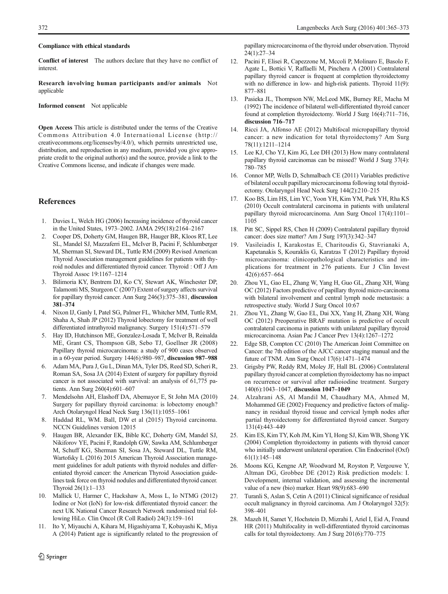#### <span id="page-7-0"></span>Compliance with ethical standards

Conflict of interest The authors declare that they have no conflict of interest.

Research involving human participants and/or animals Not applicable

Informed consent Not applicable

Open Access This article is distributed under the terms of the Creative Commons Attribution 4.0 International License (http:// creativecommons.org/licenses/by/4.0/), which permits unrestricted use, distribution, and reproduction in any medium, provided you give appropriate credit to the original author(s) and the source, provide a link to the Creative Commons license, and indicate if changes were made.

# References

- 1. Davies L, Welch HG (2006) Increasing incidence of thyroid cancer in the United States, 1973–2002. JAMA 295(18):2164–2167
- 2. Cooper DS, Doherty GM, Haugen BR, Hauger BR, Kloos RT, Lee SL, Mandel SJ, Mazzaferri EL, McIver B, Pacini F, Schlumberger M, Sherman SI, Steward DL, Tuttle RM (2009) Revised American Thyroid Association management guidelines for patients with thyroid nodules and differentiated thyroid cancer. Thyroid : Off J Am Thyroid Assoc 19:1167–1214
- 3. Bilimoria KY, Bentrem DJ, Ko CY, Stewart AK, Winchester DP, Talamonti MS, Sturgeon C (2007) Extent of surgery affects survival for papillary thyroid cancer. Ann Surg 246(3):375–381, discussion 381–374
- Nixon IJ, Ganly I, Patel SG, Palmer FL, Whitcher MM, Tuttle RM, Shaha A, Shah JP (2012) Thyroid lobectomy for treatment of well differentiated intrathyroid malignancy. Surgery 151(4):571–579
- 5. Hay ID, Hutchinson ME, Gonzalez-Losada T, McIver B, Reinalda ME, Grant CS, Thompson GB, Sebo TJ, Goellner JR (2008) Papillary thyroid microcarcinoma: a study of 900 cases observed in a 60-year period. Surgery 144(6):980–987, discussion 987–988
- 6. Adam MA, Pura J, Gu L, Dinan MA, Tyler DS, Reed SD, Scheri R, Roman SA, Sosa JA (2014) Extent of surgery for papillary thyroid cancer is not associated with survival: an analysis of 61,775 patients. Ann Surg 260(4):601–607
- 7. Mendelsohn AH, Elashoff DA, Abemayor E, St John MA (2010) Surgery for papillary thyroid carcinoma: is lobectomy enough? Arch Otolaryngol Head Neck Surg 136(11):1055–1061
- 8. Haddad RL, WM. Ball, DW et al (2015) Thyroid carcinoma. NCCN Guidelines version 12015
- 9. Haugen BR, Alexander EK, Bible KC, Doherty GM, Mandel SJ, Nikiforov YE, Pacini F, Randolph GW, Sawka AM, Schlumberger M, Schuff KG, Sherman SI, Sosa JA, Steward DL, Tuttle RM, Wartofsky L (2016) 2015 American Thyroid Association management guidelines for adult patients with thyroid nodules and differentiated thyroid cancer: the American Thyroid Association guidelines task force on thyroid nodules and differentiated thyroid cancer. Thyroid 26(1):1–133
- 10. Mallick U, Harmer C, Hackshaw A, Moss L, Io NTMG (2012) Iodine or Not (IoN) for low-risk differentiated thyroid cancer: the next UK National Cancer Research Network randomised trial following HiLo. Clin Oncol (R Coll Radiol) 24(3):159–161
- 11. Ito Y, Miyauchi A, Kihara M, Higashiyama T, Kobayashi K, Miya A (2014) Patient age is significantly related to the progression of

papillary microcarcinoma of the thyroid under observation. Thyroid 24(1):27–34

- 12. Pacini F, Elisei R, Capezzone M, Mccoli P, Molinaro E, Basolo F, Agate L, Bottici V, Raffaelli M, Pinchera A (2001) Contralateral papillary thyroid cancer is frequent at completion thyroidectomy with no difference in low- and high-risk patients. Thyroid 11(9): 877–881
- 13. Pasieka JL, Thompson NW, McLeod MK, Burney RE, Macha M (1992) The incidence of bilateral well-differentiated thyroid cancer found at completion thyroidectomy. World J Surg 16(4):711–716, discussion 716–717
- 14. Ricci JA, Alfonso AE (2012) Multifocal micropapillary thyroid cancer: a new indication for total thyroidectomy? Am Surg 78(11):1211–1214
- 15. Lee KJ, Cho YJ, Kim JG, Lee DH (2013) How many contralateral papillary thyroid carcinomas can be missed? World J Surg 37(4): 780–785
- 16. Connor MP, Wells D, Schmalbach CE (2011) Variables predictive of bilateral occult papillary microcarcinoma following total thyroidectomy. Otolaryngol Head Neck Surg 144(2):210–215
- 17. Koo BS, Lim HS, Lim YC, Yoon YH, Kim YM, Park YH, Rha KS (2010) Occult contralateral carcinoma in patients with unilateral papillary thyroid microcarcinoma. Ann Surg Oncol 17(4):1101– 1105
- 18. Pitt SC, Sippel RS, Chen H (2009) Contralateral papillary thyroid cancer: does size matter? Am J Surg 197(3):342–347
- 19. Vasileiadis I, Karakostas E, Charitoudis G, Stavrianaki A, Kapetanakis S, Kouraklis G, Karatzas T (2012) Papillary thyroid microcarcinoma: clinicopathological characteristics and implications for treatment in 276 patients. Eur J Clin Invest 42(6):657–664
- Zhou YL, Gao EL, Zhang W, Yang H, Guo GL, Zhang XH, Wang OC (2012) Factors predictive of papillary thyroid micro-carcinoma with bilateral involvement and central lymph node metastasis: a retrospective study. World J Surg Oncol 10:67
- 21. Zhou YL, Zhang W, Gao EL, Dai XX, Yang H, Zhang XH, Wang OC (2012) Preoperative BRAF mutation is predictive of occult contralateral carcinoma in patients with unilateral papillary thyroid microcarcinoma. Asian Pac J Cancer Prev 13(4):1267–1272
- 22. Edge SB, Compton CC (2010) The American Joint Committee on Cancer: the 7th edition of the AJCC cancer staging manual and the future of TNM. Ann Surg Oncol 17(6):1471–1474
- 23. Grigsby PW, Reddy RM, Moley JF, Hall BL (2006) Contralateral papillary thyroid cancer at completion thyroidectomy has no impact on recurrence or survival after radioiodine treatment. Surgery 140(6):1043–1047, discussion 1047–1049
- 24. Alzahrani AS, Al Mandil M, Chaudhary MA, Ahmed M, Mohammed GE (2002) Frequency and predictive factors of malignancy in residual thyroid tissue and cervical lymph nodes after partial thyroidectomy for differentiated thyroid cancer. Surgery 131(4):443–449
- 25. Kim ES, Kim TY, Koh JM, Kim YI, Hong SJ, Kim WB, Shong YK (2004) Completion thyroidectomy in patients with thyroid cancer who initially underwent unilateral operation. Clin Endocrinol (Oxf) 61(1):145–148
- 26. Moons KG, Kengne AP, Woodward M, Royston P, Vergouwe Y, Altman DG, Grobbee DE (2012) Risk prediction models: I. Development, internal validation, and assessing the incremental value of a new (bio) marker. Heart 98(9):683–690
- 27. Turanli S, Aslan S, Cetin A (2011) Clinical significance of residual occult malignancy in thyroid carcinoma. Am J Otolaryngol 32(5): 398–401
- 28. Mazeh H, Samet Y, Hochstein D, Mizrahi I, Ariel I, Eid A, Freund HR (2011) Multifocality in well-differentiated thyroid carcinomas calls for total thyroidectomy. Am J Surg 201(6):770–775